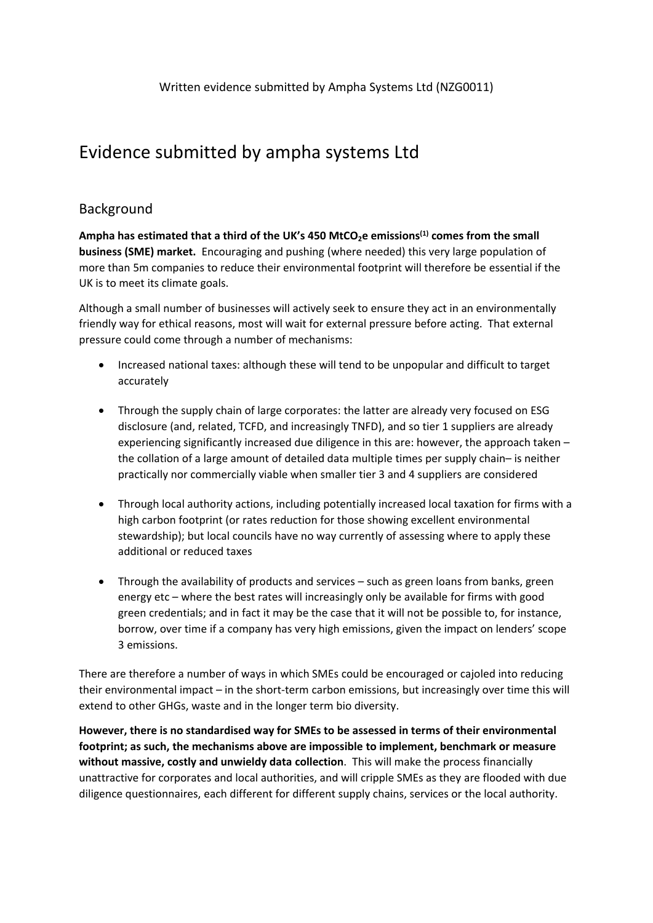# Evidence submitted by ampha systems Ltd

## Background

**Ampha has estimated that a third of the UK's 450 MtCO2e emissions(1) comes from the small business (SME) market.** Encouraging and pushing (where needed) this very large population of more than 5m companies to reduce their environmental footprint will therefore be essential if the UK is to meet its climate goals.

Although a small number of businesses will actively seek to ensure they act in an environmentally friendly way for ethical reasons, most will wait for external pressure before acting. That external pressure could come through a number of mechanisms:

- Increased national taxes: although these will tend to be unpopular and difficult to target accurately
- Through the supply chain of large corporates: the latter are already very focused on ESG disclosure (and, related, TCFD, and increasingly TNFD), and so tier 1 suppliers are already experiencing significantly increased due diligence in this are: however, the approach taken – the collation of a large amount of detailed data multiple times per supply chain– is neither practically nor commercially viable when smaller tier 3 and 4 suppliers are considered
- Through local authority actions, including potentially increased local taxation for firms with a high carbon footprint (or rates reduction for those showing excellent environmental stewardship); but local councils have no way currently of assessing where to apply these additional or reduced taxes
- Through the availability of products and services such as green loans from banks, green energy etc – where the best rates will increasingly only be available for firms with good green credentials; and in fact it may be the case that it will not be possible to, for instance, borrow, over time if a company has very high emissions, given the impact on lenders' scope 3 emissions.

There are therefore a number of ways in which SMEs could be encouraged or cajoled into reducing their environmental impact – in the short-term carbon emissions, but increasingly over time this will extend to other GHGs, waste and in the longer term bio diversity.

**However, there is no standardised way for SMEs to be assessed in terms of their environmental footprint; as such, the mechanisms above are impossible to implement, benchmark or measure without massive, costly and unwieldy data collection**. This will make the process financially unattractive for corporates and local authorities, and will cripple SMEs as they are flooded with due diligence questionnaires, each different for different supply chains, services or the local authority.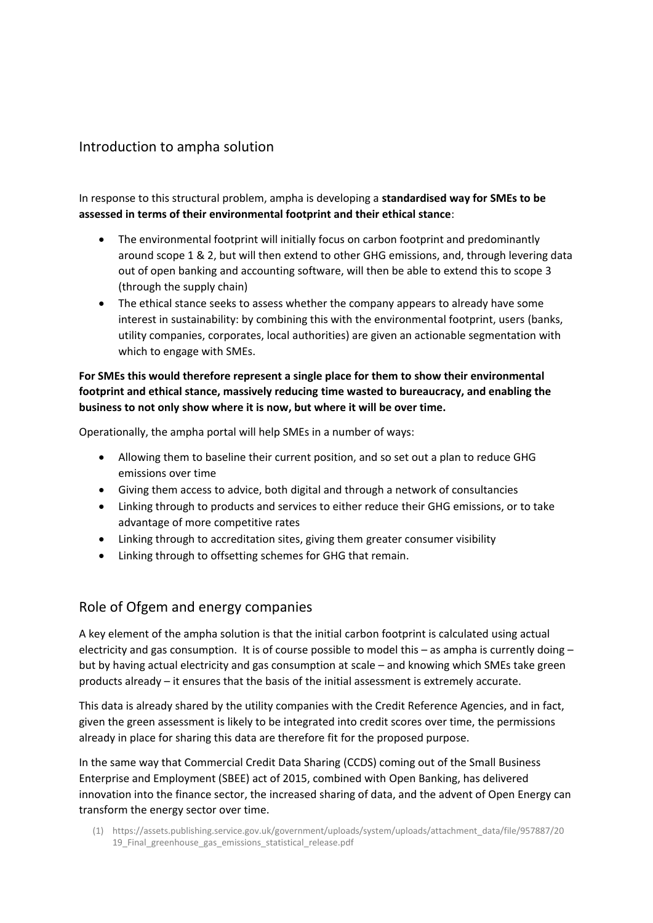## Introduction to ampha solution

In response to this structural problem, ampha is developing a **standardised way for SMEs to be assessed in terms of their environmental footprint and their ethical stance**:

- The environmental footprint will initially focus on carbon footprint and predominantly around scope 1 & 2, but will then extend to other GHG emissions, and, through levering data out of open banking and accounting software, will then be able to extend this to scope 3 (through the supply chain)
- The ethical stance seeks to assess whether the company appears to already have some interest in sustainability: by combining this with the environmental footprint, users (banks, utility companies, corporates, local authorities) are given an actionable segmentation with which to engage with SMEs.

#### **For SMEs this would therefore represent a single place for them to show their environmental footprint and ethical stance, massively reducing time wasted to bureaucracy, and enabling the business to not only show where it is now, but where it will be over time.**

Operationally, the ampha portal will help SMEs in a number of ways:

- Allowing them to baseline their current position, and so set out a plan to reduce GHG emissions over time
- Giving them access to advice, both digital and through a network of consultancies
- Linking through to products and services to either reduce their GHG emissions, or to take advantage of more competitive rates
- Linking through to accreditation sites, giving them greater consumer visibility
- Linking through to offsetting schemes for GHG that remain.

#### Role of Ofgem and energy companies

A key element of the ampha solution is that the initial carbon footprint is calculated using actual electricity and gas consumption. It is of course possible to model this – as ampha is currently doing – but by having actual electricity and gas consumption at scale – and knowing which SMEs take green products already – it ensures that the basis of the initial assessment is extremely accurate.

This data is already shared by the utility companies with the Credit Reference Agencies, and in fact, given the green assessment is likely to be integrated into credit scores over time, the permissions already in place for sharing this data are therefore fit for the proposed purpose.

In the same way that Commercial Credit Data Sharing (CCDS) coming out of the Small Business Enterprise and Employment (SBEE) act of 2015, combined with Open Banking, has delivered innovation into the finance sector, the increased sharing of data, and the advent of Open Energy can transform the energy sector over time.

(1) https://assets.publishing.service.gov.uk/government/uploads/system/uploads/attachment\_data/file/957887/20 19\_Final\_greenhouse\_gas\_emissions\_statistical\_release.pdf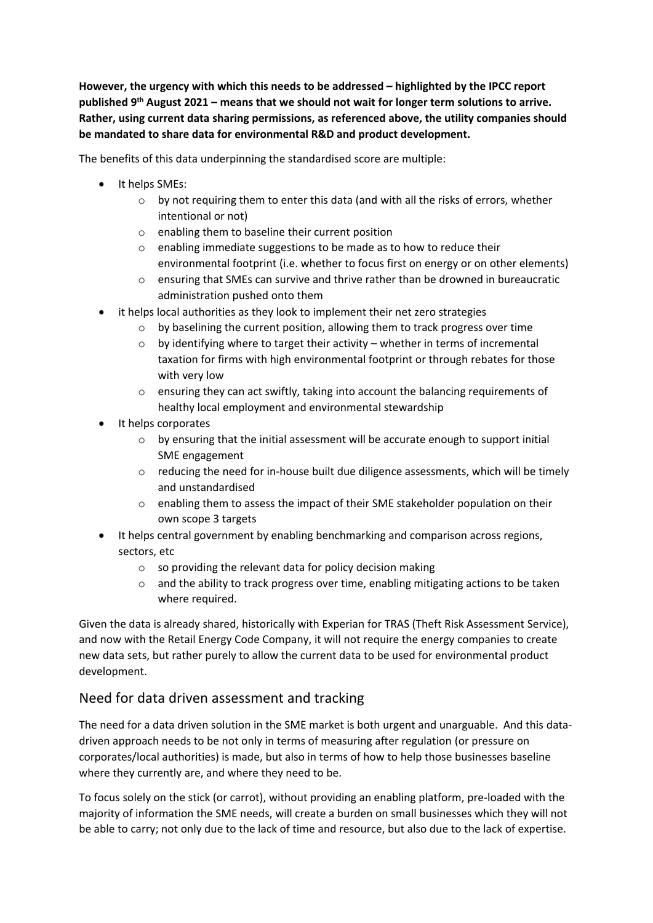**However, the urgency with which this needs to be addressed – highlighted by the IPCC report published 9 th August 2021 – means that we should not wait for longer term solutions to arrive. Rather, using current data sharing permissions, as referenced above, the utility companies should be mandated to share data for environmental R&D and product development.**

The benefits of this data underpinning the standardised score are multiple:

- It helps SMEs:
	- $\circ$  by not requiring them to enter this data (and with all the risks of errors, whether intentional or not)
	- o enabling them to baseline their current position
	- o enabling immediate suggestions to be made as to how to reduce their environmental footprint (i.e. whether to focus first on energy or on other elements)
	- o ensuring that SMEs can survive and thrive rather than be drowned in bureaucratic administration pushed onto them
- it helps local authorities as they look to implement their net zero strategies
	- o by baselining the current position, allowing them to track progress over time
	- $\circ$  by identifying where to target their activity whether in terms of incremental taxation for firms with high environmental footprint or through rebates for those with very low
	- o ensuring they can act swiftly, taking into account the balancing requirements of healthy local employment and environmental stewardship
- It helps corporates
	- o by ensuring that the initial assessment will be accurate enough to support initial SME engagement
	- $\circ$  reducing the need for in-house built due diligence assessments, which will be timely and unstandardised
	- o enabling them to assess the impact of their SME stakeholder population on their own scope 3 targets
- It helps central government by enabling benchmarking and comparison across regions, sectors, etc
	- o so providing the relevant data for policy decision making
	- $\circ$  and the ability to track progress over time, enabling mitigating actions to be taken where required.

Given the data is already shared, historically with Experian for TRAS (Theft Risk Assessment Service), and now with the Retail Energy Code Company, it will not require the energy companies to create new data sets, but rather purely to allow the current data to be used for environmental product development.

## Need for data driven assessment and tracking

The need for a data driven solution in the SME market is both urgent and unarguable. And this datadriven approach needs to be not only in terms of measuring after regulation (or pressure on corporates/local authorities) is made, but also in terms of how to help those businesses baseline where they currently are, and where they need to be.

To focus solely on the stick (or carrot), without providing an enabling platform, pre-loaded with the majority of information the SME needs, will create a burden on small businesses which they will not be able to carry; not only due to the lack of time and resource, but also due to the lack of expertise.